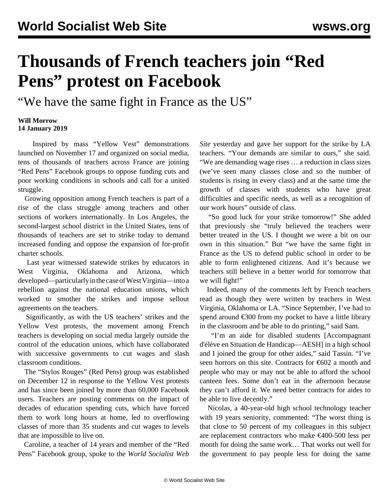## **Thousands of French teachers join "Red Pens" protest on Facebook**

"We have the same fight in France as the US"

## **Will Morrow 14 January 2019**

 Inspired by mass "Yellow Vest" demonstrations launched on November 17 and organized on social media, tens of thousands of teachers across France are joining "Red Pens" Facebook groups to oppose funding cuts and poor working conditions in schools and call for a united struggle.

 Growing opposition among French teachers is part of a rise of the class struggle among teachers and other sections of workers internationally. In Los Angeles, the second-largest school district in the United States, tens of thousands of teachers are set to strike today to demand increased funding and oppose the expansion of for-profit charter schools.

 Last year witnessed statewide strikes by educators in West Virginia, Oklahoma and Arizona, which developed—particularly in the case of West Virginia—into a rebellion against the national education unions, which worked to smother the strikes and impose sellout agreements on the teachers.

 Significantly, as with the US teachers' strikes and the Yellow Vest protests, the movement among French teachers is developing on social media largely outside the control of the education unions, which have collaborated with successive governments to cut wages and slash classroom conditions.

 The "Stylos Rouges" (Red Pens) group was established on December 12 in response to the Yellow Vest protests and has since been joined by more than 60,000 Facebook users. Teachers are posting comments on the impact of decades of education spending cuts, which have forced them to work long hours at home, led to overflowing classes of more than 35 students and cut wages to levels that are impossible to live on.

 Caroline, a teacher of 14 years and member of the "Red Pens" Facebook group, spoke to the *World Socialist Web*

*Site* yesterday and gave her support for the strike by LA teachers. "Your demands are similar to ours," she said. "We are demanding wage rises … a reduction in class sizes (we've seen many classes close and so the number of students is rising in every class) and at the same time the growth of classes with students who have great difficulties and specific needs, as well as a recognition of our work hours" outside of class.

 "So good luck for your strike tomorrow!" She added that previously she "truly believed the teachers were better treated in the US. I thought we were a bit on our own in this situation." But "we have the same fight in France as the US to defend public school in order to be able to form enlightened citizens. And it's because we teachers still believe in a better world for tomorrow that we will fight!"

 Indeed, many of the comments left by French teachers read as though they were written by teachers in West Virginia, Oklahoma or LA. "Since September, I've had to spend around €300 from my pocket to have a little library in the classroom and be able to do printing," said Sam.

 "I'm an aide for disabled students [Accompagnant d'élève en Situation de Handicap—AESH] in a high school and I joined the group for other aides," said Tassin. "I've seen horrors on this site. Contracts for €602 a month and people who may or may not be able to afford the school canteen fees. Some don't eat in the afternoon because they can't afford it. We need better contracts for aides to be able to live decently."

 Nicolas, a 40-year-old high school technology teacher with 19 years seniority, commented: "The worst thing is that close to 50 percent of my colleagues in this subject are replacement contractors who make €400-500 less per month for doing the same work… That works out well for the government to pay people less for doing the same